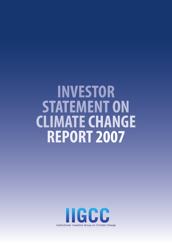# **INVESTOR STATEMENT ON CLIMATECHANGE REPORT 2007**

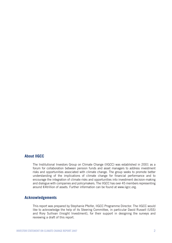### **About IIGCC**

The Institutional Investors Group on Climate Change (IIGCC) was established in 2001 as a forum for collaboration between pension funds and asset managers to address investment risks and opportunities associated with climate change. The group seeks to promote better understanding of the implications of climate change for financial performance and to encourage the integration of climate risks and opportunities into investment decision-making and dialogue with companies and policymakers. The IIGCC has over 45 members representing around €4trillion of assets. Further information can be found at www.iigcc.org.

### **Acknowledgements**

This report was prepared by Stephanie Pfeifer, IIGCC Programme Director. The IIGCC would like to acknowledge the help of its Steering Committee, in particular David Russell (USS) and Rory Sullivan (Insight Investment), for their support in designing the surveys and reviewing a draft of this report.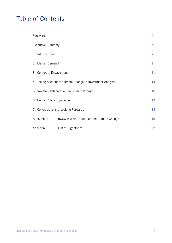# Table of Contents

|                          | Foreword                                                  |                                            |    |
|--------------------------|-----------------------------------------------------------|--------------------------------------------|----|
| <b>Executive Summary</b> |                                                           |                                            | 5  |
| $\mathbf{1}$             | Introduction                                              |                                            | 7  |
|                          | 2 Market Demand                                           |                                            |    |
|                          | 3 Corporate Engagement                                    |                                            |    |
|                          | 4 Taking Account of Climate Change in Investment Analysis |                                            |    |
|                          | 5 Investor Collaboration on Climate Change                |                                            |    |
|                          | 6 Public Policy Engagement                                |                                            |    |
|                          | 7 Conclusions and Looking Forwards                        |                                            | 18 |
| Appendix 1               |                                                           | IIGCC Investor Statement on Climate Change | 19 |
| Appendix 2               |                                                           | <b>List of Signatories</b>                 | 22 |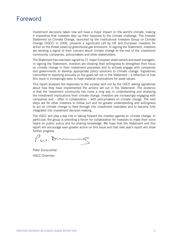### Foreword

Investment decisions taken now will have a major impact on the world's climate, making it imperative that investors step up their response to the climate challenge. The Investor Statement on Climate Change, launched by the Institutional Investors Group on Climate Change (IIGCC) in 2006, presents a significant call by UK and European investors for action on the threat posed by greenhouse gas emissions. In signing the Statement, investors are sending a signal of their concern about climate change to the rest of the investment community, companies, policymakers and other stakeholders.

The Statement has now been signed by 21 major European asset owners and asset managers. In signing the Statement, investors are showing their willingness to strengthen their focus on climate change in their investment processes and to actively engage with companies and governments to develop appropriate policy solutions to climate change. Signatories committed to reporting annually on the goals set out in the Statement – a reflection of how this issue is increasingly seen to have material implications for asset values.

This report analyses the responses to the surveys sent out by the IIGCC asking signatories about how they have implemented the actions set out in the Statement. The evidence is that the investment community has come a long way in understanding and analysing the investment implications from climate change. Investors are increasingly engaging with companies and – often in collaboration – with policymakers on climate change. The next steps are for other investors to follow suit and for greater understanding and willingness to act on climate change to feed through into investment mandates and to become fully integrated into investment decision-making.

The IIGCC will play a key role in taking forward the investor agenda on climate change. In particular, the group is providing a forum for collaboration for investors to make their voice heard on public policy and for sharing knowledge. We hope that the Statement and this report will encourage even greater action on this issue and that next year's report will show further progress.

Pw. Dun

Peter Dunscombe IIGCC Chairman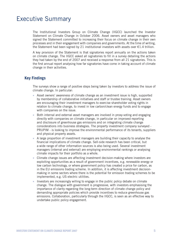### Executive Summary

The Institutional Investors Group on Climate Change (IIGCC) launched the Investor Statement on Climate Change in October 2006. Asset owners and asset managers who signed the Statement committed to increasing their focus on climate change in their own processes and in their engagement with companies and governments. At the time of writing, the Statement had been signed by 21 institutional investors with assets over  $\epsilon$ 1.4 trillion.

A key provision of the Statement is that signatories report annually on the actions taken on climate change. The IIGCC asked all signatories to fill in a survey detailing the actions they had taken by the end of 2007 and received a response from all 21 signatories. This is the first annual report analysing how far signatories have come in taking account of climate change in their activities.

### **Key Findings**

The surveys show a range of positive steps being taken by investors to address the issue of climate change. In particular:

- Asset owners' awareness of climate change as an investment issue is high, supported by membership of collaborative initiatives and staff or trustee training. Asset owners are encouraging their investment managers to exercise shareholder voting rights in relation to climate change, to invest in low carbon/clean energy funds and to engage with companies on the issue.
- Both internal and external asset managers are involved in proxy-voting and engaging directly with companies on climate change, in particular on improved reporting and disclosure of greenhouse gas emissions and on integrating climate change considerations into business strategies. The property investment company surveyed - PRUPIM - is looking to improve the environmental performance of its tenants, suppliers and physical property assets.
- A large proportion of investment managers are building their capacity to analyse the financial implications of climate change. Sell-side research has been critical, but a wide range of other information sources is also being used. Several investment managers (internal and external) are employing environmental rankings or analysing climate impacts for their portfolio as a whole.
- Climate change issues are affecting investment decision-making where investors are exploiting opportunities as a result of government incentives, e.g. renewable energy or low carbon technology, or where government policy has created a price for carbon, as in the EU emissions trading scheme. In addition, it is affecting investment decisionmaking in some sectors where there is the potential for emission trading schemes to be implemented, e.g. US electric utilities.
- Investors are increasingly willing to engage in the public policy debate on climate change. The dialogue with government is progressive, with investors emphasising the importance of clarity regarding the long-term direction of climate change policy and demanding appropriate policies which provide incentives to reduce greenhouse gas emissions. Collaboration, particularly through the IIGCC, is seen as an effective way to undertake public policy engagement. •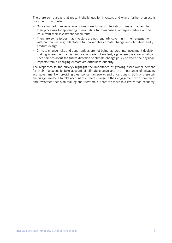There are some areas that present challenges for investors and where further progress is possible. In particular:

- Only a limited number of asset owners are formally integrating climate change into their processes for appointing or evaluating fund managers, or request advice on the issue from their investment consultants.
- There are some issues that investors are not regularly covering in their engagement with companies, e.g. adaptation to unavoidable climate change and climate-friendly product design.
- Climate change risks and opportunities are not being factored into investment decisionmaking where the financial implications are not evident, e.g. where there are significant uncertainties about the future direction of climate change policy or where the physical impacts from a changing climate are difficult to quantify.

The responses to the surveys highlight the importance of growing asset owner demand for their managers to take account of climate change and the importance of engaging with government on providing clear policy frameworks and price signals. Both of these will encourage investors to take account of climate change in their engagement with companies and investment decision-making and therefore support the move to a low carbon economy.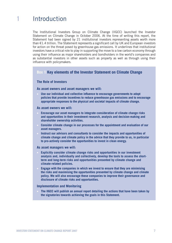# **1** Introduction

The Institutional Investors Group on Climate Change (IIGCC) launched the Investor Statement on Climate Change in October 2006. At the time of writing this report, the Statement had been signed by 21 institutional investors representing assets worth more than €1.4 trillion. The Statement represents a significant call by UK and European investors for action on the threat posed by greenhouse gas emissions. It underlines that institutional investors have a critical role to play in supporting the move to a low carbon economy through using their influence as major shareholders and bondholders in the world's companies and as substantial investors in other assets such as property as well as through using their influence with policymakers.

### **Box 1 Key elements of the Investor Statement on Climate Change**

### **The Role of Investors**

#### **As asset owners and asset managers we will:**

**Use our individual and collective influence to encourage governments to adopt policies that provide incentives to reduce greenhouse gas emissions and to encourage appropriate responses to the physical and societal impacts of climate change.**

#### **As asset owners we will:**

- **Encourage our asset managers to integrate consideration of climate change risks and opportunities in their investment research, analysis and decision-making and shareholder ownership activities.**
- **Consider climate change in our processes for the appointment and evaluation of our asset managers.**
- **Instruct our advisors and consultants to consider the impacts and opportunities of climate change and climate policy in the advice that they provide to us, in particular to pro-actively consider the opportunities to invest in clean energy.**

#### **As asset managers we will:**

- **Explicitly consider climate change risks and opportunities in our investment analysis and, individually and collectively, develop the tools to assess the shortterm and long-term risks and opportunities presented by climate change and climate-related policies.**
- **Engage with the companies in which we invest to ensure that they are minimising the risks and maximising the opportunities presented by climate change and climate policy. We will also encourage these companies to improve their governance and disclosure of climate risks and opportunities.**

#### **Implementation and Monitoring**

**The IIGCC will publish an annual report detailing the actions that have been taken by the signatories towards achieving the goals in this Statement.**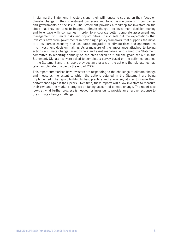In signing the Statement, investors signal their willingness to strengthen their focus on climate change in their investment processes and to actively engage with companies and governments on the issue. The Statement provides a roadmap for investors on the steps that they can take to integrate climate change into investment decision-making and to engage with companies in order to encourage better corporate assessment and management of climate risks and opportunities. It also sets out the expectations that investors have from governments in providing a policy framework that supports the move to a low carbon economy and facilitates integration of climate risks and opportunities into investment decision-making. As a measure of the importance attached to taking action on climate change, asset owners and asset managers who signed the Statement committed to reporting annually on the steps taken to fulfill the goals set out in the Statement. Signatories were asked to complete a survey based on the activities detailed in the Statement and this report provides an analysis of the actions that signatories had taken on climate change by the end of 2007.

This report summarises how investors are responding to the challenge of climate change and measures the extent to which the actions detailed in the Statement are being implemented. The report highlights best practice and allows signatories to gauge their performance against their peers. Over time, these reports will allow investors to measure their own and the market's progress on taking account of climate change. The report also looks at what further progress is needed for investors to provide an effective response to the climate change challenge.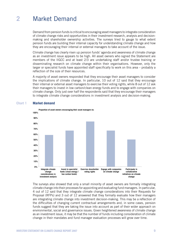# **2** Market Demand

Demand from pension funds is critical to encouraging asset managers to integrate consideration of climate change risks and opportunities in their investment research, analysis and decisionmaking and shareholder ownership activities. The surveys tried to gauge to what extent pension funds are building their internal capacity for understanding climate change and how they are encouraging their internal or external managers to take account of the issue.

Climate change has clearly risen up pension funds' agenda and awareness of climate change as an investment issue appears to be high. All asset owners who signed the Statement are members of the IIGCC and at least 2/3 are undertaking staff and/or trustee training or disseminating research on climate change within their organisations. However, only the larger or specialist funds have appointed staff specifically to work on this area – probably a reflection of the size of their resources.

A majority of asset owners responded that they encourage their asset managers to consider the implications of climate change. In particular, 10 out of 12 said that they encourage their internal or external asset managers to exercise their voting rights, while 8 out of 12 ask their managers to invest in low carbon/clean energy funds and to engage with companies on climate change. Only just over half the respondents said that they encourage their managers to integrate climate change considerations in investment analysis and decision-making.



### **Chart 1 Market demand**

The surveys also showed that only a small minority of asset owners are formally integrating climate change into their processes for appointing and evaluating fund managers. In particular, 4 out of 12 said that they integrate climate change considerations into their Requests for Proposal (RFPs) and 3 out of 12 answered that they formally evaluate how their managers are integrating climate change into investment decision-making. This may be a reflection of the difficulties of changing current contractual arrangements and, in some cases, pension funds suggest that they are taking the issue into account as part of their wider approach on environmental, social and governance issues. Given heightened awareness of climate change as an investment issue, it may be that the number of funds including consideration of climate change in their mandates and fund manager evaluation processes will grow over time.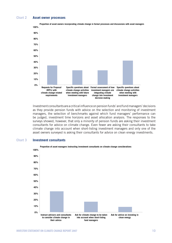### **Chart 2 Asset owner processes**



Investment consultants are a critical influence on pension funds' and fund managers' decisions as they provide pension funds with advice on the selection and monitoring of investment managers, the selection of benchmarks against which fund managers' performance can be judged, investment time horizons and asset allocation analysis. The responses to the surveys showed, however, that only a minority of pension funds are asking their investment consultants for advice on climate change. Even fewer are asking their consultants to take climate change into account when short-listing investment managers and only one of the asset owners surveyed is asking their consultants for advice on clean energy investments.

#### **Chart 3 Investment consultants**

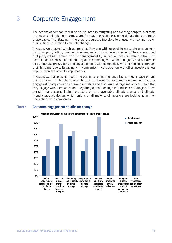# **3** Corporate Engagement

The actions of companies will be crucial both to mitigating and averting dangerous climate change and to implementing measures for adapting to changes in the climate that are already unavoidable. The Statement therefore encourages investors to engage with companies on their actions in relation to climate change.

Investors were asked which approaches they use with respect to corporate engagement, including proxy voting, direct engagement and collaborative engagement. The surveys found that proxy voting followed by direct engagement by individual investors were the two most common approaches, and adopted by all asset managers. A small majority of asset owners also undertake proxy voting and engage directly with companies, whilst others do so through their fund managers. Engaging with companies in collaboration with other investors is less popular than the other two approaches.

Investors were also asked about the particular climate change issues they engage on and this is analysed in the chart below. In their responses, all asset managers replied that they engage with companies on improved reporting and disclosure. A large majority also said that they engage with companies on integrating climate change into business strategies. There are still many issues, including adaptation to unavoidable climate change and climatefriendly product design, which only a small majority of investors are looking at in their interactions with companies.



#### **Chart 4 Corporate engagement on climate change**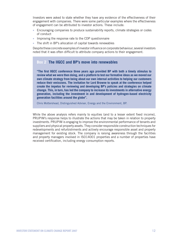Investors were asked to state whether they have any evidence of the effectiveness of their engagement with companies. There were some particular examples where the effectiveness of engagement can be attributed to investor actions. These include:

- Encouraging companies to produce sustainability reports, climate strategies or codes of conduct
- Improving the response rate to the CDP questionnaire
- The shift in BP's allocation of capital towards renewables

Despite these concrete examples of investor influence on corporate behaviour, several investors noted that it was often difficult to attribute company actions to their engagement.

### **Box 2 The IIGCC and BP's move into renewables**

**"The first IIGCC conference three years ago provided BP with both a timely stimulus to review what we were then doing, and a platform to test our formative ideas as we moved our own climate strategy from being about our own internal activities to helping our customers reduce their emissions. The invitation for Lord Browne to speak at the conference helped create the impetus for reviewing and developing BP's policies and strategies on climate change. This, in turn, has led the company to increase its investments in alternative energy generation, including the investment in and development of hydrogen-based electricity generation facilities around the globe".** 

Chris Mottershead, Distinguished Adviser, Energy and the Environment, BP.

While the above analysis refers mainly to equities (and to a lesser extent fixed income), PRUPIM's response helps to illustrate the actions that may be taken in relation to property investments. PRUPIM is engaging to improve the environmental performance of tenants and suppliers and physical property assets. They consider responsible construction techniques for redevelopments and refurbishments and actively encourage responsible asset and property management for existing stock. The company is raising awareness through the facilities and property managers involved in ISO14001 properties and a number of properties have received certification, including energy consumption reports.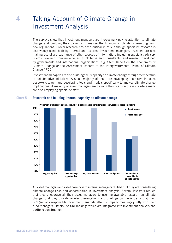# **4** Taking Account of Climate Change in Investment Analysis

The surveys show that investment managers are increasingly paying attention to climate change and building their capacity to analyse the financial implications resulting from new regulations. Broker research has been critical in this, although specialist research is also widely used, both by internal and external investment managers. Investors are also making use of a broad range of other sources of information, including specialist advisory boards, research from universities, think tanks and consultants, and research developed by governments and international organisations, e.g. Stern Report on the Economics of Climate Change or the Assessment Reports of the Intergovernmental Panel of Climate Change (IPCC).

Investment managers are also building their capacity on climate change through membership of collaborative initiatives. A small majority of them are developing their own in-house bespoke research and developing tools and models specifically to analyse climate change implications. A majority of asset managers are training their staff on the issue while many are also employing specialist staff.



#### **Chart 5 Research and building internal capacity on climate change**

All asset managers and asset owners with internal managers replied that they are considering climate change risks and opportunities in investment analysis. Several investors replied that they encourage all their asset managers to use the available research on climate change, that they provide regular presentations and briefings on the issue or that their SRI (socially responsible investment) analysts attend company meetings jointly with their fund managers. Others use SRI rankings which are integrated into investment analysis and portfolio construction.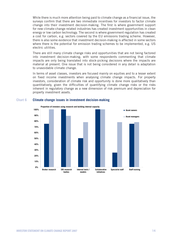While there is much more attention being paid to climate change as a financial issue, the surveys confirm that there are two immediate incentives for investors to factor climate change into their investment decision-making. The first is where government support for new climate-change related industries has created investment opportunities in clean energy or low carbon technology. The second is where government regulation has created a cost for carbon, e.g. sectors covered by the EU emissions trading scheme. However, there is also some evidence that investment decision-making is affected in some sectors where there is the potential for emission trading schemes to be implemented, e.g. US electric utilities.

There are still many climate change risks and opportunities that are not being factored into investment decision-making, with some respondents commenting that climate impacts are only being translated into stock-picking decisions where the impacts are material at present. One issue that is not being considered in any detail is adaptation to unavoidable climate change.

In terms of asset classes, investors are focused mainly on equities and to a lesser extent on fixed income investments when analysing climate change impacts. For property investors, consideration of climate risk and opportunity is done more qualitatively than quantitatively, given the difficulties of quantifying climate change risks or the risks inherent in regulatory change as a new dimension of risk premium and depreciation for property investment assets.



#### **Chart 6 Climate change issues in investment decision-making**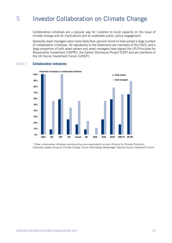# **5** Investor Collaboration on Climate Change

Collaborative initiatives are a popular way for investors to build capacity on the issue of climate change and its implications and to undertake public policy engagement.

Generally asset managers were more likely than pension funds to have joined a large number of collaborative initiatives. All signatories to the Statement are members of the IIGCC and a large proportion of both asset owners and asset managers have signed the UN Principles for Responsible Investment (UNPRI), the Carbon Disclosure Project (CDP) and are members of the UK Social Investment Forum (UKSIF).

### **Chart 7 Collaborative initiatives**



\* Other collaborative initiatives mentioned by some respondents include: Alliance for Climate Protection, Corporate Leaders Group on Climate Change, Forum Nachhaltige Geldanlagen (German Social Investment Forum)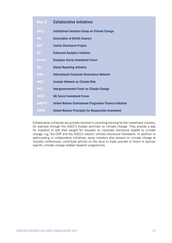| Box 3          | <b>Collaborative Initiatives</b>                               |
|----------------|----------------------------------------------------------------|
| <b>IIGCC</b>   | <b>Institutional Investors Group on Climate Change</b>         |
| <b>ABI</b>     | <b>Association of British Insurers</b>                         |
| <b>CDP</b>     | <b>Carbon Disclosure Project</b>                               |
| <b>EAI</b>     | <b>Enhanced Analytics Initiative</b>                           |
| <b>Eurosif</b> | <b>European Social Investment Forum</b>                        |
| <b>GRI</b>     | <b>Global Reporting Initiative</b>                             |
| <b>ICGN</b>    | <b>International Corporate Governance Network</b>              |
| <b>INCR</b>    | <b>Investor Network on Climate Risk</b>                        |
| <b>IPCC</b>    | <b>Intergovernmental Panel on Climate Change</b>               |
| <b>UKSIF</b>   | <b>UK Social Investment Forum</b>                              |
| <b>UNEP FI</b> | <b>United Nations Environment Programme Finance Initiative</b> |
| <b>UNPRI</b>   | <b>United Nations Principles for Responsible Investment</b>    |

Collaborative initiatives are actively involved in providing training for the investment industry, for example through the IIGCC's trustee seminars on climate change. They provide a way for investors to add their weight for requests on corporate disclosure related to climate change, e.g. the CDP and the IIGCC's electric utilities disclosure framework. In addition to participating in collaborative initiatives, some investors also present on climate change at industry conferences, contribute articles on the issue to trade journals or direct or sponsor specific climate change related research programmes.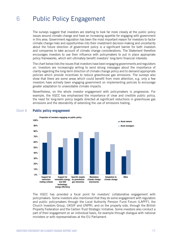# **6** Public Policy Engagement

The surveys suggest that investors are starting to look far more closely at the public policy issues around climate change and have an increasing appetite for engaging with government in this area. Government regulation has been the most important reason for investors to factor climate change risks and opportunities into their investment decision-making and uncertainty about the future direction of government policy is a significant barrier for both investors and companies to take account of climate change considerations. The Statement therefore encourages investors to use their influence with policymakers to put in place appropriate policy frameworks, which will ultimately benefit investors' long-term financial interests.

The chart below lists the issues that investors have been engaging governments and regulators on. Investors are increasingly willing to send strong messages about the importance of clarity regarding the long-term direction of climate change policy and to demand appropriate policies which provide incentives to reduce greenhouse gas emissions. The surveys also show that there are some areas which could benefit from more attention, e.g. only a few investors have actively been engaging government on implementing policies to encourage greater adaptation to unavoidable climate impacts.

Nevertheless, on the whole investor engagement with policymakers is progressive. For example, the IIGCC has emphasised the importance of clear and credible public policy, the need for long-term policy targets directed at significant reductions in greenhouse gas emissions and the desirability of extending the use of emissions trading.



### **Chart 8 Public policy engagement**

The IIGCC has provided a focal point for investors' collaborative engagement with policymakers. Some investors also mentioned that they do some engagement with regulators and public policymakers through the Local Authority Pension Fund Forum (LAPFF), the Church Investors Group, UKSIF and UNPRI, and on the property side, through the British Property Federation and the Carbon Trust Strategic Initiative. Some investors also conduct a part of their engagement on an individual basis, for example through dialogue with national ministers or with representatives at the EU Parliament.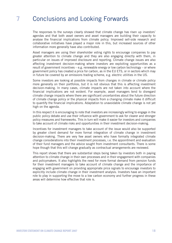# **7** Conclusions and Looking Forwards

The responses to the surveys clearly showed that climate change has risen up investors' agendas and that both asset owners and asset managers are building their capacity to analyse the financial implications from climate policy. Improved sell-side research and collaborative initiatives have played a major role in this, but increased sources of other information more generally have also contributed.

Asset managers are using their shareholder voting rights to encourage companies to pay greater attention to climate change and they are also engaging directly with them, in particular on issues of improved disclosure and reporting. Climate change issues are also affecting investment decision-making where investors are exploiting opportunities as a result of government incentives – e.g. renewable energy or low carbon technology – or where government policy has created a price for carbon, as in the EU ETS, or in sectors which may in future be covered by an emissions trading scheme, e.g. electric utilities in the US.

Some investors are looking at possible impacts from changes in climate or climate policy more generally on their portfolios, but it is not obvious that this is affecting investment decision-making. In many cases, climate impacts are not taken into account where the financial implications are not evident. For example, asset managers tend to disregard climate change impacts where there are significant uncertainties about the future direction of climate change policy or the physical impacts from a changing climate make it difficult to quantify the financial implications. Adaptation to unavoidable climate change is not yet high on the agenda.

In this respect it is encouraging to note that investors are increasingly willing to engage in the public policy debate and use their influence with government to ask for clearer and stronger policy measures and frameworks. This in turn will make it easier for investors and companies to take account of climate risks and opportunities in their investment decision-making.

Incentives for investment managers to take account of the issue would also be supported by greater client demand for more formal integration of climate change in investment decision-making. There are very few asset owners who have formally integrated climate change considerations into their investment processes, i.e. the appointment and evaluation of their fund managers and the advice sought from investment consultants. There is some hope though that this will change gradually as contractual arrangements are reviewed.

This report shows that there are substantial steps being taken by investors both in paying attention to climate change in their own processes and in their engagement with companies and policymakers. It also highlights the need for more formal demand from pension funds for their investment managers to take account of climate change and the importance of engaging with government on providing appropriate price signals to encourage investors to explicitly include climate change in their investment analysis. Investors have an important role to play in supporting the move to a low carbon economy and further progress in these areas will determine how effective that role is.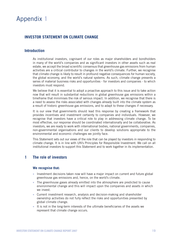# Appendix **1**

### **INVESTOR STATEMENT ON CLIMATE CHANGE**

### **Introduction**

As institutional investors, cognisant of our roles as major shareholders and bondholders in many of the world's companies and as significant investors in other assets such as real estate, we accept the broad scientific consensus that greenhouse gas emissions from human activities are a critical contributor to changes in the world's climate. Further, we recognise that climate change is likely to result in profound negative consequences for human society, the global economy, and the world's natural systems. As such, climate change presents a series of material business risks and opportunities - for investors and companies - to which investors must respond.

We believe that it is essential to adopt a proactive approach to this issue and to take action now that will result in substantial reductions in global greenhouse gas emissions within a timeframe that minimises the risk of serious impact. In addition, we recognise that there is a need to assess the risks associated with changes already built into the climate system as a result of historic greenhouse gas emissions, and to adapt to these changes if necessary.

It is our view that governments should lead this response by creating a framework that provides incentives and investment certainty to companies and individuals. However, we recognise that investors have a critical role to play in addressing climate change. To be most effective, our response should be coordinated internationally and be collaborative. As investors, we are ready to work with international bodies, national governments, companies, non-governmental organisations and our clients to develop solutions appropriate to the environmental and economic challenges we jointly face.

This Statement sets out our views of the role that can be played by investors in responding to climate change. It is in line with UN's Principles for Responsible Investment. We call on all institutional investors to support this Statement and to work together in its implementation.

### **1 The role of investors**

### **We recognise that:**

- Investment decisions taken now will have a major impact on current and future global greenhouse gas emissions and, hence, on the world's climate.
- The greenhouse gases already emitted into the atmosphere are predicted to cause environmental change and this will impact upon the companies and assets in which we invest.
- Current investment research, analysis and decision-making and shareholder ownership activities do not fully reflect the risks and opportunities presented by global climate change.
- It is not in the long-term interests of the ultimate beneficiaries of the assets we represent that climate change occurs.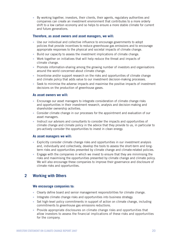• By working together, investors, their clients, their agents, regulatory authorities and companies can create an investment environment that contributes to a more orderly shift to a low carbon economy and so helps to ensure a more stable climate for current and future generations.

### **Therefore, as asset owners and asset managers, we will:**

- Use our individual and collective influence to encourage governments to adopt policies that provide incentives to reduce greenhouse gas emissions and to encourage appropriate responses to the physical and societal impacts of climate change.
- Build our capacity to assess the investment implications of climate change.
- Work together on initiatives that will help reduce the threat and impacts of climate change.
- Promote information-sharing among the growing number of investors and organisations around the world concerned about climate change.
- Incentivise and/or support research on the risks and opportunities of climate change and climate policy that adds value to our investment decision-making processes.
- Seek to minimise the adverse impacts and maximise the positive impacts of investment decisions on the production of greenhouse gases.

### **As asset owners we will:**

- Encourage our asset managers to integrate consideration of climate change risks and opportunities in their investment research, analysis and decision-making and shareholder ownership activities.
- Consider climate change in our processes for the appointment and evaluation of our asset managers.
- Instruct our advisors and consultants to consider the impacts and opportunities of climate change and climate policy in the advice that they provide to us, in particular to pro-actively consider the opportunities to invest in clean energy.

### **As asset managers we will:**

- Explicitly consider climate change risks and opportunities in our investment analysis and, individually and collectively, develop the tools to assess the short-term and longterm risks and opportunities presented by climate change and climate-related policies.
- Engage with the companies in which we invest to ensure that they are minimising the risks and maximising the opportunities presented by climate change and climate policy. We will also encourage these companies to improve their governance and disclosure of climate risks and opportunities.

### **2 Working with Others**

### **We encourage companies to:**

- Clearly define board and senior management responsibilities for climate change.
- Integrate climate change risks and opportunities into business strategy.
- Set high-level policy commitments in support of action on climate change, including commitments to greenhouse gas emissions reductions.
- Provide appropriate disclosures on climate change risks and opportunities that allow investors to assess the financial implications of these risks and opportunities for the company.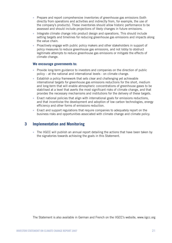- Prepare and report comprehensive inventories of greenhouse gas emissions (both directly from operations and activities and indirectly from, for example, the use of the company's products). These inventories should allow historic performance to be assessed and should include projections of likely changes in future emissions.
- Integrate climate change into product design and operations. This should include setting targets and timelines for reducing greenhouse gas emissions and impacts along the value chain.
- Proactively engage with public policy makers and other stakeholders in support of policy measures to reduce greenhouse gas emissions, and not lobby to obstruct legitimate attempts to reduce greenhouse gas emissions or mitigate the effects of climate change.

### **We encourage governments to:**

- Provide long-term guidance to investors and companies on the direction of public policy – at the national and international levels - on climate change.
- Establish a policy framework that sets clear and challenging yet achievable international targets for greenhouse gas emissions reductions for the short, medium and long-term that will enable atmospheric concentrations of greenhouse gases to be stabilised at a level that averts the most significant risks of climate change, and that provides the necessary mechanisms and institutions for the delivery of these targets.
- Enact national policies that align with international goals for emissions reductions, and that incentivise the development and adoption of low carbon technologies, energy efficiency and other forms of emissions reduction.
- Enact and support regulations that require companies to adequately report on the business risks and opportunities associated with climate change and climate policy.

### **3 Implementation and Monitoring**

• The IIGCC will publish an annual report detailing the actions that have been taken by the signatories towards achieving the goals in this Statement.

The Statement is also available in German and French on the IIGCC's website, www.iigcc.org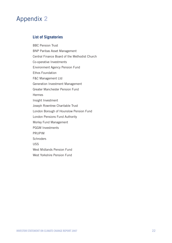# Appendix **2**

### **List of Signatories**

BBC Pension Trust BNP Paribas Asset Management Central Finance Board of the Methodist Church Co-operative Investments Environment Agency Pension Fund Ethos Foundation F&C Management Ltd Generation Investment Management Greater Manchester Pension Fund **Hermes** Insight Investment Joseph Rowntree Charitable Trust London Borough of Hounslow Pension Fund London Pensions Fund Authority Morley Fund Management PGGM Investments PRUPIM **Schroders** USS West Midlands Pension Fund

West Yorkshire Pension Fund